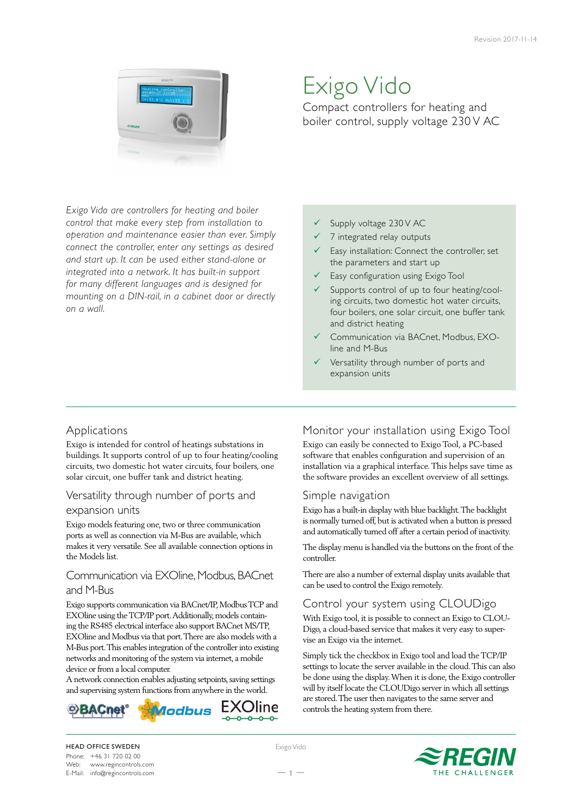

# Exigo Vido

Compact controllers for heating and boiler control, supply voltage 230 V AC

*Exigo Vido are controllers for heating and boiler control that make every step from installation to operation and maintenance easier than ever. Simply connect the controller, enter any settings as desired and start up. It can be used either stand-alone or integrated into a network. It has built-in support for many different languages and is designed for mounting on a DIN-rail, in a cabinet door or directly on a wall.*

#### Supply voltage 230 V AC

- $\checkmark$  7 integrated relay outputs
- Easy installation: Connect the controller, set the parameters and start up
- $\checkmark$  Easy configuration using Exigo Tool
- Supports control of up to four heating/cooling circuits, two domestic hot water circuits, four boilers, one solar circuit, one buffer tank and district heating
- 9 Communication via BACnet, Modbus, EXOline and M-Bus
- Versatility through number of ports and expansion units

## Applications

Exigo is intended for control of heatings substations in buildings. It supports control of up to four heating/cooling circuits, two domestic hot water circuits, four boilers, one solar circuit, one buffer tank and district heating.

#### Versatility through number of ports and

#### expansion units

Exigo models featuring one, two or three communication ports as well as connection via M-Bus are available, which makes it very versatile. See all available connection options in the Models list.

## Communication via EXOline, Modbus, BACnet and M-Bus

Exigo supports communication via BACnet/IP, Modbus TCP and EXOline using the TCP/IP port. Additionally, models containing the RS485 electrical interface also support BACnet MS/TP, EXOline and Modbus via that port. There are also models with a M-Bus port. This enables integration of the controller into existing networks and monitoring of the system via internet, a mobile device or from a local computer.

A network connection enables adjusting setpoints, saving settings and supervising system functions from anywhere in the world.



# Monitor your installation using Exigo Tool

Exigo can easily be connected to Exigo Tool, a PC-based software that enables configuration and supervision of an installation via a graphical interface. This helps save time as the software provides an excellent overview of all settings.

## Simple navigation

Exigo has a built-in display with blue backlight. The backlight is normally turned off, but is activated when a button is pressed and automatically turned off after a certain period of inactivity.

The display menu is handled via the buttons on the front of the controller.

There are also a number of external display units available that can be used to control the Exigo remotely.

## Control your system using CLOUDigo

With Exigo tool, it is possible to connect an Exigo to CLOU-Digo, a cloud-based service that makes it very easy to supervise an Exigo via the internet.

Simply tick the checkbox in Exigo tool and load the TCP/IP settings to locate the server available in the cloud. This can also be done using the display. When it is done, the Exigo controller will by itself locate the CLOUDigo server in which all settings are stored. The user then navigates to the same server and controls the heating system from there.

HEAD OFFICE SWEDEN Phone: +46 31 720 02 00 Web: www.regincontrols.com E-Mail: info@regincontrols.com Exigo Vido



 $-1 -$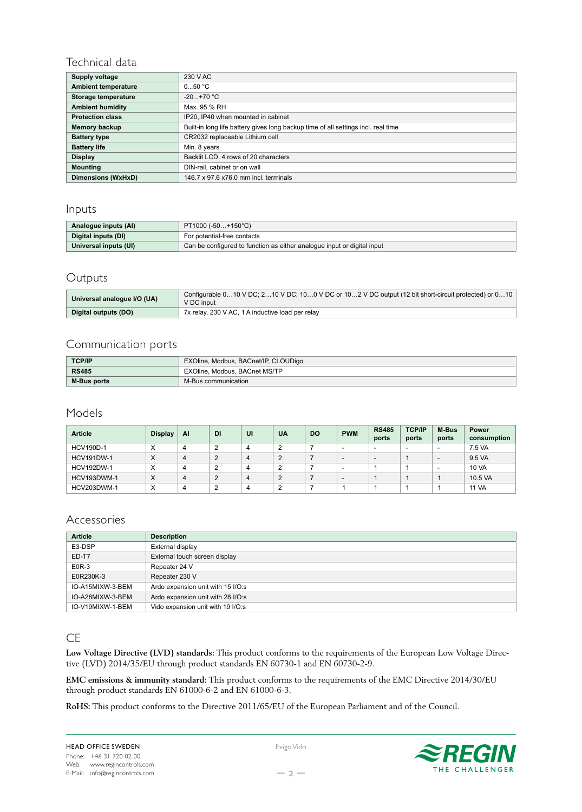# Technical data

| Supply voltage             | 230 V AC                                                                          |
|----------------------------|-----------------------------------------------------------------------------------|
| <b>Ambient temperature</b> | 050 °C                                                                            |
| Storage temperature        | $-20+70$ °C                                                                       |
| <b>Ambient humidity</b>    | Max. 95 % RH                                                                      |
| <b>Protection class</b>    | IP20, IP40 when mounted in cabinet                                                |
| Memory backup              | Built-in long life battery gives long backup time of all settings incl. real time |
| <b>Battery type</b>        | CR2032 replaceable Lithium cell                                                   |
| <b>Battery life</b>        | Min. 8 years                                                                      |
| <b>Display</b>             | Backlit LCD, 4 rows of 20 characters                                              |
| <b>Mounting</b>            | DIN-rail, cabinet or on wall                                                      |
| Dimensions (WxHxD)         | 146.7 x 97.6 x76.0 mm incl. terminals                                             |

# Inputs

| Analogue inputs (AI)  | $PT1000 (-50+150°C)$                                                    |  |  |  |
|-----------------------|-------------------------------------------------------------------------|--|--|--|
| Digital inputs (DI)   | For potential-free contacts                                             |  |  |  |
| Universal inputs (UI) | Can be configured to function as either analogue input or digital input |  |  |  |

# Outputs

| Universal analogue I/O (UA) | Configurable 010 V DC; 210 V DC; 100 V DC or 102 V DC output (12 bit short-circuit protected) or 010<br>V DC input |
|-----------------------------|--------------------------------------------------------------------------------------------------------------------|
| Digital outputs (DO)        | 7x relay, 230 V AC, 1 A inductive load per relay                                                                   |

# Communication ports

| <b>TCP/IP</b>      | EXOline, Modbus, BACnet/IP, CLOUDigo |  |  |  |
|--------------------|--------------------------------------|--|--|--|
| <b>RS485</b>       | EXOline, Modbus, BACnet MS/TP        |  |  |  |
| <b>M-Bus ports</b> | M-Bus communication                  |  |  |  |

Models

| <b>Article</b>    | <b>Display</b>   | <b>AI</b> | DI         | UI | <b>UA</b> | DO | <b>PWM</b>               | <b>RS485</b><br>ports    | <b>TCP/IP</b><br>ports | M-Bus<br>ports | <b>Power</b><br>consumption |
|-------------------|------------------|-----------|------------|----|-----------|----|--------------------------|--------------------------|------------------------|----------------|-----------------------------|
| <b>HCV190D-1</b>  | X                |           | $\sqrt{2}$ | 4  |           |    | -                        | -                        |                        |                | 7.5 VA                      |
| <b>HCV191DW-1</b> | X                |           | C          | 4  |           |    | -                        | $\overline{\phantom{0}}$ |                        | -              | 9.5 VA                      |
| <b>HCV192DW-1</b> | X                |           | ⌒          | 4  |           |    | $\overline{\phantom{0}}$ |                          |                        |                | <b>10 VA</b>                |
| HCV193DWM-1       | X                |           | $\sim$     | 4  |           |    | ٠                        |                          |                        |                | 10.5 VA                     |
| HCV203DWM-1       | $\check{ }$<br>ᄉ |           | ∽          | 4  |           |    |                          |                          |                        |                | <b>11 VA</b>                |

## Accessories

| <b>Article</b>   | <b>Description</b>                |  |  |  |
|------------------|-----------------------------------|--|--|--|
| E3-DSP           | External display                  |  |  |  |
| ED-T7            | External touch screen display     |  |  |  |
| E0R-3            | Repeater 24 V                     |  |  |  |
| E0R230K-3        | Repeater 230 V                    |  |  |  |
| IO-A15MIXW-3-BEM | Ardo expansion unit with 15 I/O:s |  |  |  |
| IO-A28MIXW-3-BEM | Ardo expansion unit with 28 I/O:s |  |  |  |
| IO-V19MIXW-1-BEM | Vido expansion unit with 19 I/O:s |  |  |  |

# **CE**

**Low Voltage Directive (LVD) standards:** This product conforms to the requirements of the European Low Voltage Directive (LVD) 2014/35/EU through product standards EN 60730-1 and EN 60730-2-9.

**EMC emissions & immunity standard:** This product conforms to the requirements of the EMC Directive 2014/30/EU through product standards EN 61000-6-2 and EN 61000-6-3.

**RoHS:** This product conforms to the Directive 2011/65/EU of the European Parliament and of the Council.